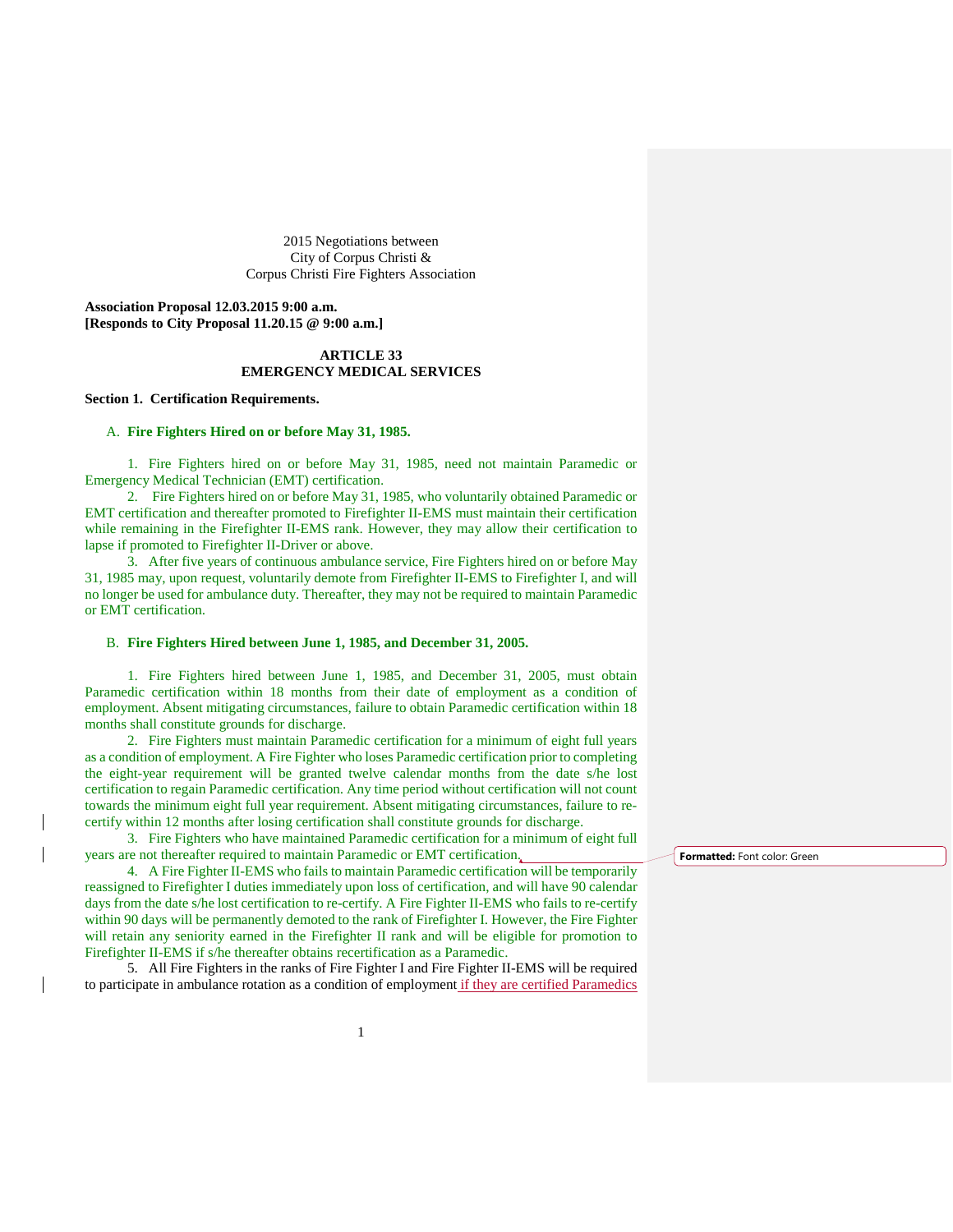2015 Negotiations between City of Corpus Christi & Corpus Christi Fire Fighters Association

**Association Proposal 12.03.2015 9:00 a.m. [Responds to City Proposal 11.20.15 @ 9:00 a.m.]**

# **ARTICLE 33 EMERGENCY MEDICAL SERVICES**

### **Section 1. Certification Requirements.**

## A. **Fire Fighters Hired on or before May 31, 1985.**

1. Fire Fighters hired on or before May 31, 1985, need not maintain Paramedic or Emergency Medical Technician (EMT) certification.

2. Fire Fighters hired on or before May 31, 1985, who voluntarily obtained Paramedic or EMT certification and thereafter promoted to Firefighter II-EMS must maintain their certification while remaining in the Firefighter II-EMS rank. However, they may allow their certification to lapse if promoted to Firefighter II-Driver or above.

3. After five years of continuous ambulance service, Fire Fighters hired on or before May 31, 1985 may, upon request, voluntarily demote from Firefighter II-EMS to Firefighter I, and will no longer be used for ambulance duty. Thereafter, they may not be required to maintain Paramedic or EMT certification.

#### B. **Fire Fighters Hired between June 1, 1985, and December 31, 2005.**

1. Fire Fighters hired between June 1, 1985, and December 31, 2005, must obtain Paramedic certification within 18 months from their date of employment as a condition of employment. Absent mitigating circumstances, failure to obtain Paramedic certification within 18 months shall constitute grounds for discharge.

2. Fire Fighters must maintain Paramedic certification for a minimum of eight full years as a condition of employment. A Fire Fighter who loses Paramedic certification prior to completing the eight-year requirement will be granted twelve calendar months from the date s/he lost certification to regain Paramedic certification. Any time period without certification will not count towards the minimum eight full year requirement. Absent mitigating circumstances, failure to recertify within 12 months after losing certification shall constitute grounds for discharge.

3. Fire Fighters who have maintained Paramedic certification for a minimum of eight full years are not thereafter required to maintain Paramedic or EMT certification.

4. A Fire Fighter II-EMS who fails to maintain Paramedic certification will be temporarily reassigned to Firefighter I duties immediately upon loss of certification, and will have 90 calendar days from the date s/he lost certification to re-certify. A Fire Fighter II-EMS who fails to re-certify within 90 days will be permanently demoted to the rank of Firefighter I. However, the Fire Fighter will retain any seniority earned in the Firefighter II rank and will be eligible for promotion to Firefighter II-EMS if s/he thereafter obtains recertification as a Paramedic.

5. All Fire Fighters in the ranks of Fire Fighter I and Fire Fighter II-EMS will be required to participate in ambulance rotation as a condition of employment if they are certified Paramedics **Formatted:** Font color: Green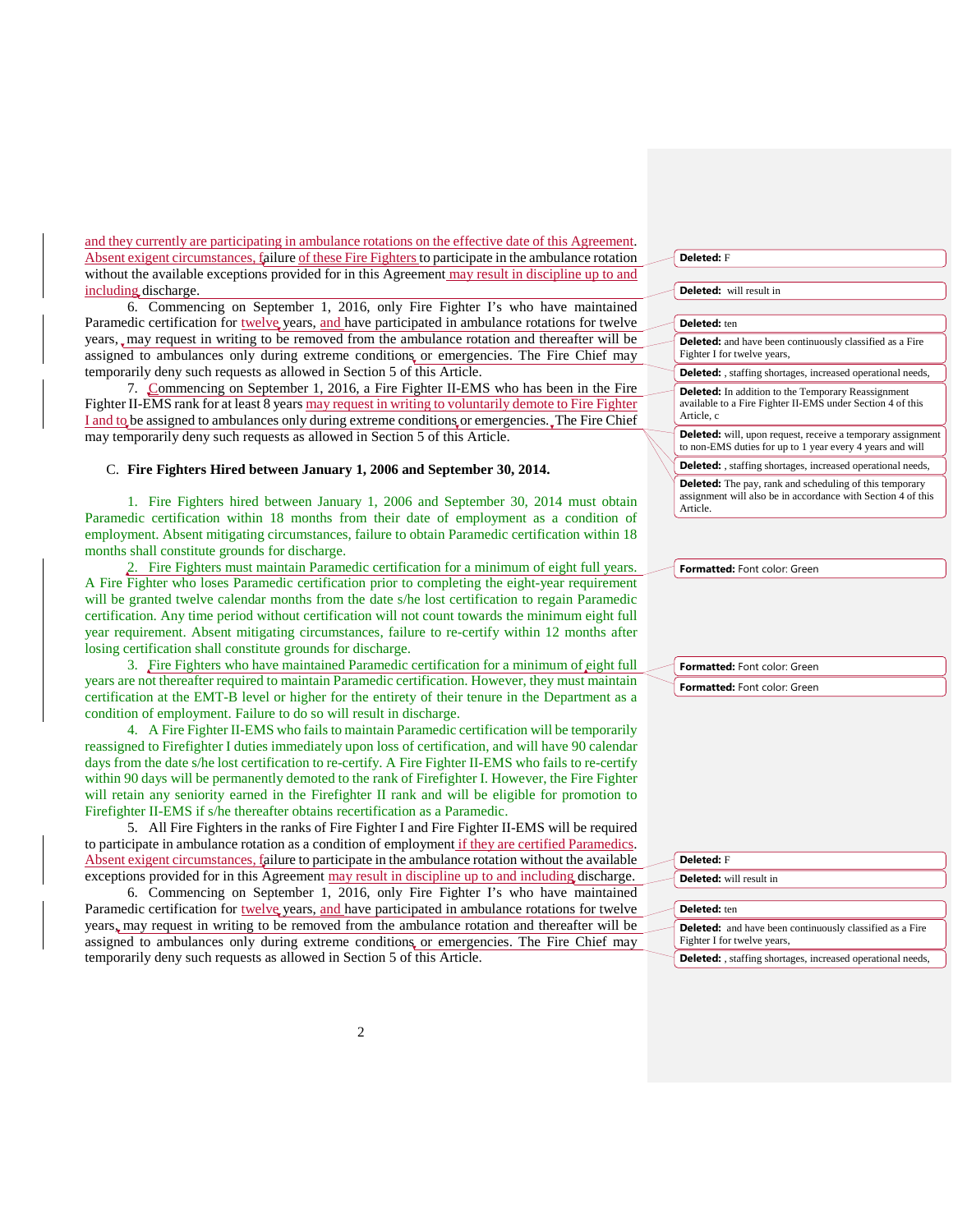and they currently are participating in ambulance rotations on the effective date of this Agreement. Absent exigent circumstances, failure of these Fire Fighters to participate in the ambulance rotation without the available exceptions provided for in this Agreement may result in discipline up to and including discharge.

6. Commencing on September 1, 2016, only Fire Fighter I's who have maintained Paramedic certification for twelve years, and have participated in ambulance rotations for twelve years, may request in writing to be removed from the ambulance rotation and thereafter will be assigned to ambulances only during extreme conditions or emergencies. The Fire Chief may temporarily deny such requests as allowed in Section 5 of this Article.

7. Commencing on September 1, 2016, a Fire Fighter II-EMS who has been in the Fire Fighter II-EMS rank for at least 8 years may request in writing to voluntarily demote to Fire Fighter I and to be assigned to ambulances only during extreme conditions or emergencies. The Fire Chief may temporarily deny such requests as allowed in Section 5 of this Article.

# C. **Fire Fighters Hired between January 1, 2006 and September 30, 2014.**

1. Fire Fighters hired between January 1, 2006 and September 30, 2014 must obtain Paramedic certification within 18 months from their date of employment as a condition of employment. Absent mitigating circumstances, failure to obtain Paramedic certification within 18 months shall constitute grounds for discharge.

2. Fire Fighters must maintain Paramedic certification for a minimum of eight full years. A Fire Fighter who loses Paramedic certification prior to completing the eight-year requirement will be granted twelve calendar months from the date s/he lost certification to regain Paramedic certification. Any time period without certification will not count towards the minimum eight full year requirement. Absent mitigating circumstances, failure to re-certify within 12 months after losing certification shall constitute grounds for discharge.

3. Fire Fighters who have maintained Paramedic certification for a minimum of eight full years are not thereafter required to maintain Paramedic certification. However, they must maintain certification at the EMT-B level or higher for the entirety of their tenure in the Department as a condition of employment. Failure to do so will result in discharge.

4. A Fire Fighter II-EMS who fails to maintain Paramedic certification will be temporarily reassigned to Firefighter I duties immediately upon loss of certification, and will have 90 calendar days from the date s/he lost certification to re-certify. A Fire Fighter II-EMS who fails to re-certify within 90 days will be permanently demoted to the rank of Firefighter I. However, the Fire Fighter will retain any seniority earned in the Firefighter II rank and will be eligible for promotion to Firefighter II-EMS if s/he thereafter obtains recertification as a Paramedic.

5. All Fire Fighters in the ranks of Fire Fighter I and Fire Fighter II-EMS will be required to participate in ambulance rotation as a condition of employment if they are certified Paramedics. Absent exigent circumstances, failure to participate in the ambulance rotation without the available exceptions provided for in this Agreement may result in discipline up to and including discharge.

6. Commencing on September 1, 2016, only Fire Fighter I's who have maintained Paramedic certification for twelve years, and have participated in ambulance rotations for twelve years, may request in writing to be removed from the ambulance rotation and thereafter will be assigned to ambulances only during extreme conditions or emergencies. The Fire Chief may temporarily deny such requests as allowed in Section 5 of this Article.

| <b>Deleted:</b> F                                                                                                                     |
|---------------------------------------------------------------------------------------------------------------------------------------|
|                                                                                                                                       |
| Deleted: will result in                                                                                                               |
|                                                                                                                                       |
| Deleted: ten                                                                                                                          |
| <b>Deleted:</b> and have been continuously classified as a Fire<br>Fighter I for twelve years,                                        |
| <b>Deleted:</b> , staffing shortages, increased operational needs,                                                                    |
| <b>Deleted:</b> In addition to the Temporary Reassignment<br>available to a Fire Fighter II-EMS under Section 4 of this<br>Article, c |
| <b>Deleted:</b> will, upon request, receive a temporary assignment<br>to non-EMS duties for up to 1 year every 4 years and will       |
| <b>Deleted:</b> , staffing shortages, increased operational needs,                                                                    |
| <b>Deleted:</b> The pay, rank and scheduling of this temporary<br>assignment will also be in accordance with Section 4 of this        |

**Formatted:** Font color: Green

Article.

**Formatted:** Font color: Green **Formatted:** Font color: Green

| Deleted: F                                                                                     |
|------------------------------------------------------------------------------------------------|
| Deleted: will result in                                                                        |
| Deleted: ten                                                                                   |
| <b>Deleted:</b> and have been continuously classified as a Fire<br>Fighter I for twelve years, |
| <b>Deleted:</b> , staffing shortages, increased operational needs,                             |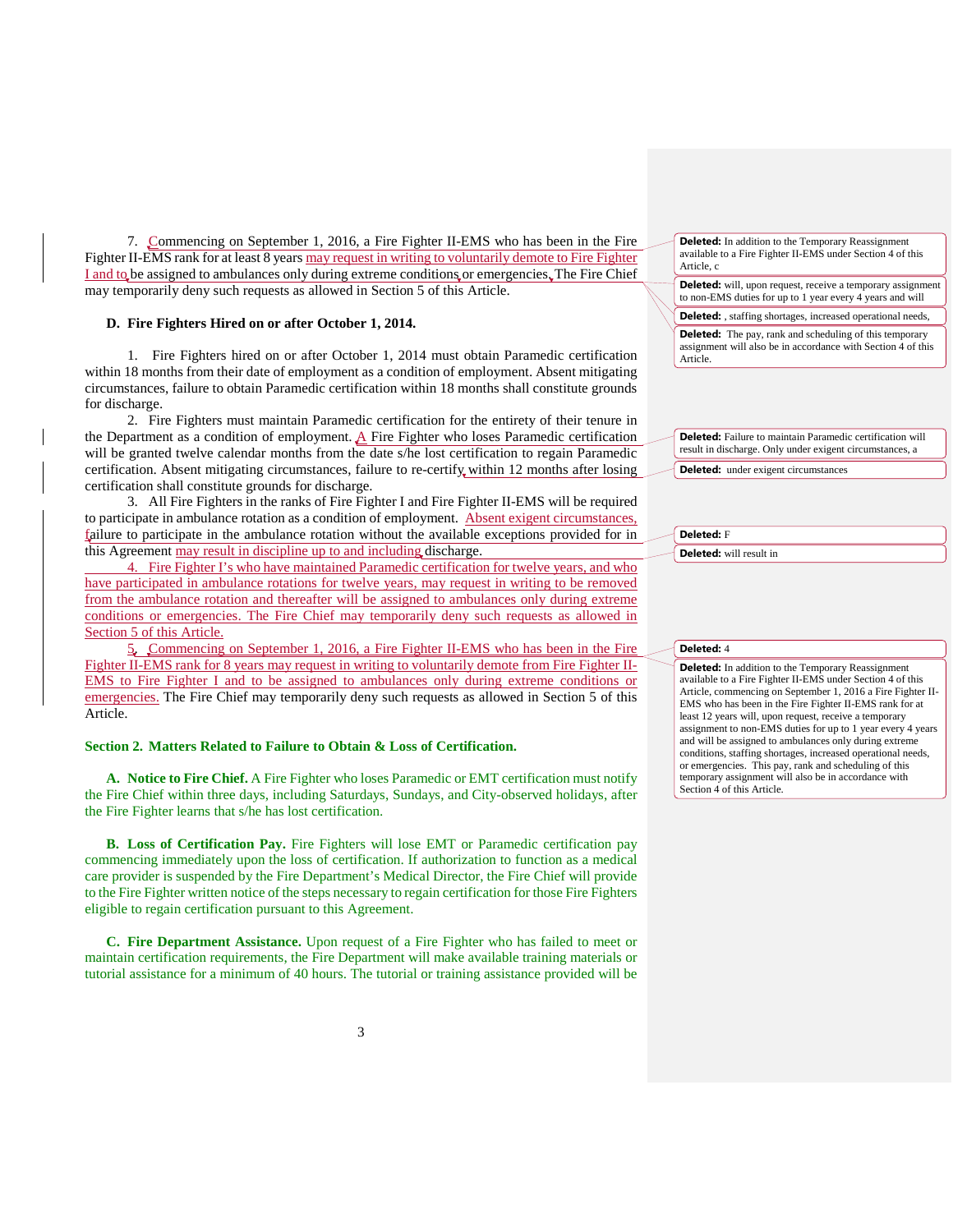7. Commencing on September 1, 2016, a Fire Fighter II-EMS who has been in the Fire Fighter II-EMS rank for at least 8 years may request in writing to voluntarily demote to Fire Fighter I and to be assigned to ambulances only during extreme conditions or emergencies. The Fire Chief may temporarily deny such requests as allowed in Section 5 of this Article.

### **D. Fire Fighters Hired on or after October 1, 2014.**

1. Fire Fighters hired on or after October 1, 2014 must obtain Paramedic certification within 18 months from their date of employment as a condition of employment. Absent mitigating circumstances, failure to obtain Paramedic certification within 18 months shall constitute grounds for discharge.

2. Fire Fighters must maintain Paramedic certification for the entirety of their tenure in the Department as a condition of employment.  $\triangle$  Fire Fighter who loses Paramedic certification will be granted twelve calendar months from the date s/he lost certification to regain Paramedic certification. Absent mitigating circumstances, failure to re-certify within 12 months after losing certification shall constitute grounds for discharge.

3. All Fire Fighters in the ranks of Fire Fighter I and Fire Fighter II-EMS will be required to participate in ambulance rotation as a condition of employment. Absent exigent circumstances, failure to participate in the ambulance rotation without the available exceptions provided for in this Agreement may result in discipline up to and including discharge.

4. Fire Fighter I's who have maintained Paramedic certification for twelve years, and who have participated in ambulance rotations for twelve years, may request in writing to be removed from the ambulance rotation and thereafter will be assigned to ambulances only during extreme conditions or emergencies. The Fire Chief may temporarily deny such requests as allowed in Section 5 of this Article.

5. Commencing on September 1, 2016, a Fire Fighter II-EMS who has been in the Fire Fighter II-EMS rank for 8 years may request in writing to voluntarily demote from Fire Fighter II-EMS to Fire Fighter I and to be assigned to ambulances only during extreme conditions or emergencies. The Fire Chief may temporarily deny such requests as allowed in Section 5 of this Article.

#### **Section 2. Matters Related to Failure to Obtain & Loss of Certification.**

**A. Notice to Fire Chief.** A Fire Fighter who loses Paramedic or EMT certification must notify the Fire Chief within three days, including Saturdays, Sundays, and City-observed holidays, after the Fire Fighter learns that s/he has lost certification.

**B. Loss of Certification Pay.** Fire Fighters will lose EMT or Paramedic certification pay commencing immediately upon the loss of certification. If authorization to function as a medical care provider is suspended by the Fire Department's Medical Director, the Fire Chief will provide to the Fire Fighter written notice of the steps necessary to regain certification for those Fire Fighters eligible to regain certification pursuant to this Agreement.

**C. Fire Department Assistance.** Upon request of a Fire Fighter who has failed to meet or maintain certification requirements, the Fire Department will make available training materials or tutorial assistance for a minimum of 40 hours. The tutorial or training assistance provided will be

| <b>Deleted:</b> In addition to the Temporary Reassignment  |
|------------------------------------------------------------|
| available to a Fire Fighter II-EMS under Section 4 of this |
| Article, c                                                 |

**Deleted:** will, upon request, receive a temporary assignment to non-EMS duties for up to 1 year every 4 years and will

**Deleted:** , staffing shortages, increased operational needs,

**Deleted:** The pay, rank and scheduling of this temporary assignment will also be in accordance with Section 4 of this Article.

| Deleted: Failure to maintain Paramedic certification will |
|-----------------------------------------------------------|
| result in discharge. Only under exigent circumstances, a  |
|                                                           |
| $\sim$ $\sim$                                             |

**Deleted:** under exigent circumstances

**Deleted:** F **Deleted:** will result in

## **Deleted:** 4

**Deleted:** In addition to the Temporary Reassignment available to a Fire Fighter II-EMS under Section 4 of this Article, commencing on September 1, 2016 a Fire Fighter II-EMS who has been in the Fire Fighter II-EMS rank for at least 12 years will, upon request, receive a temporary assignment to non-EMS duties for up to 1 year every 4 years and will be assigned to ambulances only during extreme conditions, staffing shortages, increased operational needs, or emergencies. This pay, rank and scheduling of this temporary assignment will also be in accordance with Section 4 of this Article.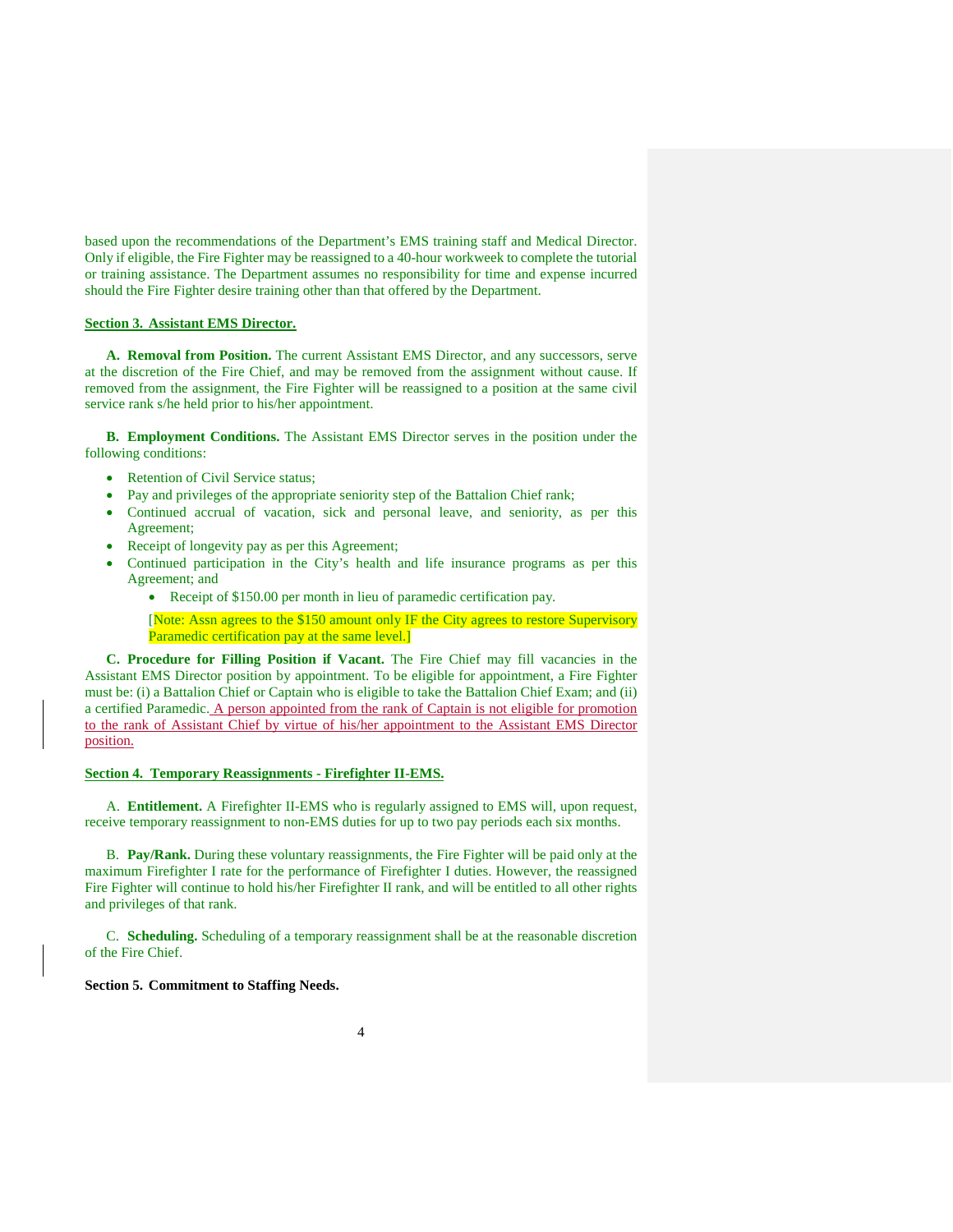based upon the recommendations of the Department's EMS training staff and Medical Director. Only if eligible, the Fire Fighter may be reassigned to a 40-hour workweek to complete the tutorial or training assistance. The Department assumes no responsibility for time and expense incurred should the Fire Fighter desire training other than that offered by the Department.

## **Section 3. Assistant EMS Director.**

**A. Removal from Position.** The current Assistant EMS Director, and any successors, serve at the discretion of the Fire Chief, and may be removed from the assignment without cause. If removed from the assignment, the Fire Fighter will be reassigned to a position at the same civil service rank s/he held prior to his/her appointment.

**B. Employment Conditions.** The Assistant EMS Director serves in the position under the following conditions:

- Retention of Civil Service status;
- Pay and privileges of the appropriate seniority step of the Battalion Chief rank;
- Continued accrual of vacation, sick and personal leave, and seniority, as per this Agreement;
- Receipt of longevity pay as per this Agreement;
- Continued participation in the City's health and life insurance programs as per this Agreement; and
	- Receipt of \$150.00 per month in lieu of paramedic certification pay.

[Note: Assn agrees to the \$150 amount only IF the City agrees to restore Supervisory Paramedic certification pay at the same level.

**C. Procedure for Filling Position if Vacant.** The Fire Chief may fill vacancies in the Assistant EMS Director position by appointment. To be eligible for appointment, a Fire Fighter must be: (i) a Battalion Chief or Captain who is eligible to take the Battalion Chief Exam; and (ii) a certified Paramedic. A person appointed from the rank of Captain is not eligible for promotion to the rank of Assistant Chief by virtue of his/her appointment to the Assistant EMS Director position.

### **Section 4. Temporary Reassignments - Firefighter II-EMS.**

A. **Entitlement.** A Firefighter II-EMS who is regularly assigned to EMS will, upon request, receive temporary reassignment to non-EMS duties for up to two pay periods each six months.

B. **Pay/Rank.** During these voluntary reassignments, the Fire Fighter will be paid only at the maximum Firefighter I rate for the performance of Firefighter I duties. However, the reassigned Fire Fighter will continue to hold his/her Firefighter II rank, and will be entitled to all other rights and privileges of that rank.

C. **Scheduling.** Scheduling of a temporary reassignment shall be at the reasonable discretion of the Fire Chief.

# **Section 5. Commitment to Staffing Needs.**